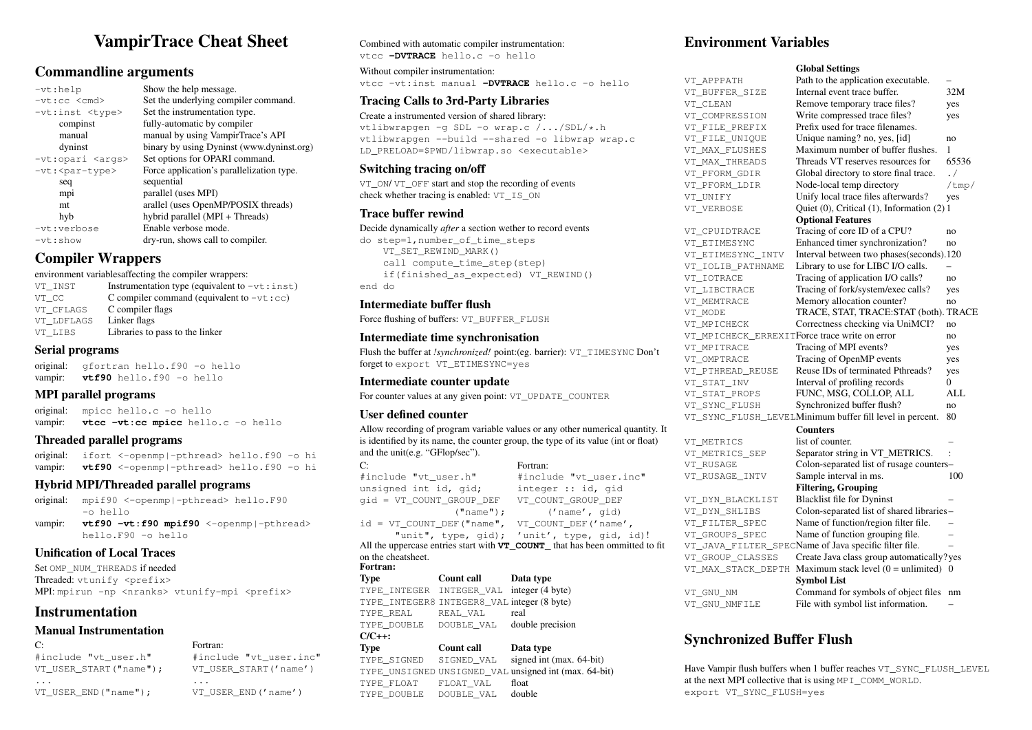# VampirTrace Cheat Sheet

## Commandline arguments

| $-vt:$ help                |
|----------------------------|
| $-vt$ :cc $\leq$ cmd>      |
| -vt:inst <type></type>     |
| compinst                   |
| manual                     |
| dyninst                    |
| -vt:opari <args></args>    |
| -vt: <par-type></par-type> |
| seq                        |
| mpi                        |
| mt                         |
| hyb                        |
| -vt:verbose                |
| $-vt:$ show                |

Show the help message. Set the underlying compiler command. Set the instrumentation type. fully-automatic by compiler manual by using VampirTrace's API binary by using Dyninst (www.dyninst.org) Set options for OPARI command. Force application's parallelization type. sequential parallel (uses MPI) arallel (uses OpenMP/POSIX threads) hyb hybrid parallel (MPI + Threads) Enable verbose mode. dry-run, shows call to compiler.

## Compiler Wrappers

environment variablesaffecting the compiler wrappers:

| VT INST    | Instrumentation type (equivalent to $-vt : inst$ ) |
|------------|----------------------------------------------------|
| VT CC      | C compiler command (equivalent to $-\nu t$ : cc)   |
| VT CFLAGS  | C compiler flags                                   |
| VT LDFLAGS | Linker flags                                       |
| VT LIBS    | Libraries to pass to the linker                    |

#### Serial programs

original: gfortran hello.f90 -o hello vampir: **vtf90** hello.f90 -o hello

### MPI parallel programs

original: mpicc hello.c -o hello vampir: vtcc -vt:cc mpicc hello.c -o hello

### Threaded parallel programs

original: ifort <-openmp|-pthread> hello.f90 -o hi vampir: vtf90 <-openmp|-pthread> hello.f90 -o hi

### Hybrid MPI/Threaded parallel programs

original: mpif90 <-openmp|-pthread> hello.F90 -o hello

vampir: vtf90 -vt:f90 mpif90 <-openmp|-pthread> hello.F90 -o hello

## Unification of Local Traces

Set OMP\_NUM\_THREADS if needed Threaded: vtunify <prefix> MPI: mpirun -np <nranks> vtunify-mpi <prefix>

## Instrumentation

### Manual Instrumentation

| С÷                        | Fortran:                  |
|---------------------------|---------------------------|
| #include "vt user.h"      | #include "vt user.inc"    |
| VT USER START("name");    | VT USER START ('name')    |
| .<br>VT USER END("name"); | .<br>VT USER END ('name') |

## Combined with automatic compiler instrumentation:

vtcc **-DVTRACE** hello.c -o hello

Without compiler instrumentation: vtcc -vt:inst manual **-DVTRACE** hello.c -o hello

## Tracing Calls to 3rd-Party Libraries

Create a instrumented version of shared library: vtlibwrapgen -g SDL -o wrap.c /.../SDL/\*.h vtlibwrapgen --build --shared -o libwrap wrap.c LD\_PRELOAD=\$PWD/libwrap.so <executable>

### Switching tracing on/off

VT\_ON/ VT\_OFF start and stop the recording of events check whether tracing is enabled: VT\_IS\_ON

### Trace buffer rewind

#### Decide dynamically *after* a section wether to record events

do step=1,number\_of\_time\_steps VT\_SET\_REWIND\_MARK() call compute\_time\_step(step) if(finished\_as\_expected) VT\_REWIND() end do

### Intermediate buffer flush

Force flushing of buffers: VT\_BUFFER\_FLUSH

## Intermediate time synchronisation

Flush the buffer at *!synchronized!* point:(eg. barrier): VT\_TIMESYNC Don't forget to export VT\_ETIMESYNC=yes

## Intermediate counter update

For counter values at any given point: VT\_UPDATE\_COUNTER

## User defined counter

Allow recording of program variable values or any other numerical quantity. It is identified by its name, the counter group, the type of its value (int or float) and the unit(e.g. "GFlop/sec").

Fortran:

C: #include "vt\_user.h" unsigned int id, gid; gid = VT\_COUNT\_GROUP\_DEF ("name"); id = VT\_COUNT\_DEF("name", VT\_COUNT\_DEF('name',

## #include "vt\_user.inc" integer :: id, gid VT\_COUNT\_GROUP\_DEF ('name', gid)

"unit", type, gid); 'unit', type, gid, id)!

All the uppercase entries start with **VT\_COUNT** that has been ommitted to fit on the cheatsheet.

#### Fortran:

Type Count call Data type TYPE\_INTEGER\_INTEGER\_VAL integer (4 byte) TYPE INTEGER8 INTEGER8 VAL integer (8 byte) TYPE\_REAL REAL\_VAL real TYPE\_DOUBLE \_\_ DOUBLE\_VAL \_\_ double precision  $C/C++$ :

#### Type Count call Data type<br>TYPE\_SIGNED SIGNED\_VAL signed int ( SIGNED\_VAL signed int (max. 64-bit) TYPE\_UNSIGNED UNSIGNED\_VAL unsigned int (max. 64-bit) TYPE\_FLOAT \_\_\_ FLOAT\_VAL float TYPE DOUBLE DOUBLE VAL double

## Environment Variables

#### Global Settings

VT APPPATH Path to the application executable. – VT\_BUFFER\_SIZE Internal event trace buffer. 32M<br>VT\_CLEAN Remove temporary trace files? ves Remove temporary trace files? yes VT\_COMPRESSION Write compressed trace files? yes VT\_FILE\_PREFIX Prefix used for trace filenames. VT\_FILE\_UNIQUE Unique naming? no, yes, [id] no VT\_MAX\_FLUSHES Maximum number of buffer flushes. 1<br>VT\_MAX\_THREADS Threads VT\_reserves\_resources for 65536 VT\_MAX\_THREADS Threads VT reserves resources for VT\_PFORM\_GDIR Global directory to store final trace. ./ VT\_PFORM\_LDIR Node-local temp directory /tmp/ VT\_UNIFY Unify local trace files afterwards? yes VT VERBOSE Quiet (0), Critical (1), Information (2) 1 Optional Features VT CPUIDTRACE Tracing of core ID of a CPU? no VT\_ETIMESYNC Enhanced timer synchronization? no<br>VT\_ETIMESYNC\_INTV Interval between two phases(seconds).12 Interval between two phases(seconds).120 VT\_IOLIB\_PATHNAME Library to use for LIBC I/O calls. VT\_IOTRACE Tracing of application I/O calls? no VT\_LIBCTRACE Tracing of fork/system/exec calls? yes VT\_MEMTRACE Memory allocation counter? no VT MODE **TRACE, STAT, TRACE:STAT (both). TRACE** VT\_MPICHECK Correctness checking via UniMCI? no VT\_MPICHECK\_ERREXITForce trace write on error no VT\_MPITRACE Tracing of MPI events? yes VT OMPTRACE Tracing of OpenMP events yes VT\_PTHREAD\_REUSE Reuse IDs of terminated Pthreads? yes VT\_STAT\_INV Interval of profiling records 0 VT\_STAT\_PROPS FUNC, MSG, COLLOP, ALL ALL VT\_SYNC\_FLUSH Synchronized buffer flush? no VT\_SYNC\_FLUSH\_LEVELMinimum buffer fill level in percent. 80 **Counters** VT METRICS list of counter. VT\_METRICS\_SEP Separator string in VT\_METRICS. VT\_RUSAGE Colon-separated list of rusage counters– VT\_RUSAGE\_INTV Sample interval in ms. 100 Filtering, Grouping VT\_DYN\_BLACKLIST – Blacklist file for Dyninst VT\_DYN\_SHLIBS Colon-separated list of shared libraries – VT\_FILTER\_SPEC Name of function/region filter file. – VT\_GROUPS\_SPEC Name of function grouping file. – VT\_JAVA\_FILTER\_SPECName of Java specific filter file. VT\_GROUP\_CLASSES Create Java class group automatically? yes VT\_MAX\_STACK\_DEPTH Maximum stack level (0 = unlimited) 0 Symbol List VT\_GNU\_NM Command for symbols of object files nm VT\_GNU\_NMFILE File with symbol list information.

## Synchronized Buffer Flush

Have Vampir flush buffers when 1 buffer reaches VT\_SYNC\_FLUSH\_LEVEL at the next MPI collective that is using MPI\_COMM\_WORLD. export VT\_SYNC\_FLUSH=yes